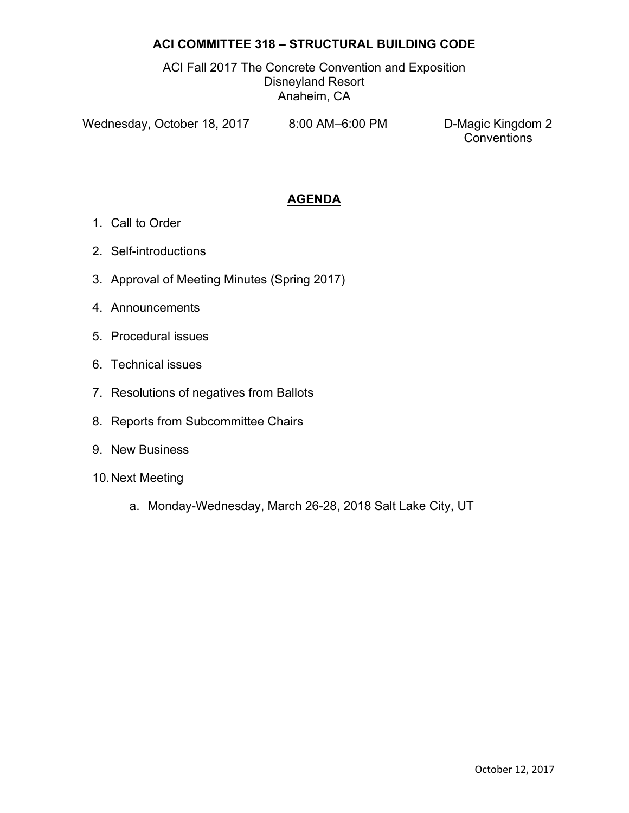## **ACI COMMITTEE 318 – STRUCTURAL BUILDING CODE**

ACI Fall 2017 The Concrete Convention and Exposition Disneyland Resort Anaheim, CA

Wednesday, October 18, 2017 8:00 AM-6:00 PM D-Magic Kingdom 2

**Conventions** 

## **AGENDA**

- 1. Call to Order
- 2. Self-introductions
- 3. Approval of Meeting Minutes (Spring 2017)
- 4. Announcements
- 5. Procedural issues
- 6. Technical issues
- 7. Resolutions of negatives from Ballots
- 8. Reports from Subcommittee Chairs
- 9. New Business
- 10. Next Meeting
	- a. Monday-Wednesday, March 26-28, 2018 Salt Lake City, UT